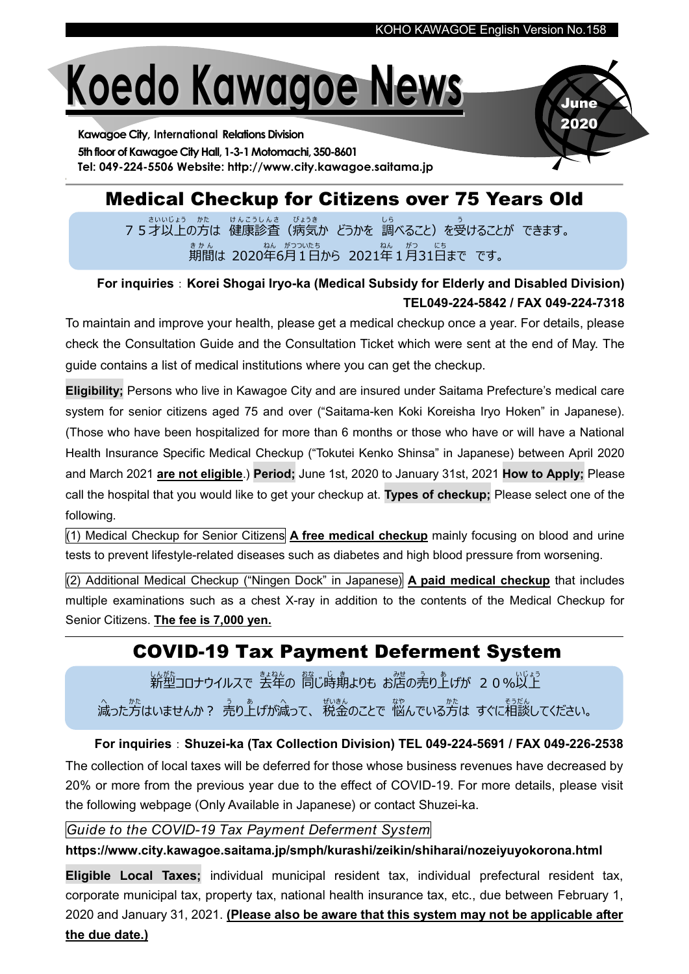June 2020

# Koedo Kawagoe News

Kawagoe City, International Relations Division 5th floor of Kawagoe City Hall, 1-3-1 Motomachi, 350-8601 Tel: 049-224-5506 Website: http://www.city.kawagoe.saitama.jp

# Medical Checkup for Citizens over 75 Years Old

── さいいじょう ゕた けんこうしんさ びょうき う<br>7 5才以上の方は 健康診査(病気か どうかを 調べること)を受けることが できます。 期間 き か ん は 2020年 ねん 6月 がつ 1 つい 日 た ち から 2021年 ねん 1月 がつ 31日 に ち まで です。

## For inquiries: Korei Shogai Iryo-ka (Medical Subsidy for Elderly and Disabled Division) TEL049-224-5842 / FAX 049-224-7318

To maintain and improve your health, please get a medical checkup once a year. For details, please check the Consultation Guide and the Consultation Ticket which were sent at the end of May. The guide contains a list of medical institutions where you can get the checkup.

Eligibility; Persons who live in Kawagoe City and are insured under Saitama Prefecture's medical care system for senior citizens aged 75 and over ("Saitama-ken Koki Koreisha Iryo Hoken" in Japanese). (Those who have been hospitalized for more than 6 months or those who have or will have a National Health Insurance Specific Medical Checkup ("Tokutei Kenko Shinsa" in Japanese) between April 2020 and March 2021 are not eligible.) Period; June 1st, 2020 to January 31st, 2021 How to Apply; Please call the hospital that you would like to get your checkup at. Types of checkup; Please select one of the following.

(1) Medical Checkup for Senior Citizens  $\Delta$  free medical checkup mainly focusing on blood and urine tests to prevent lifestyle-related diseases such as diabetes and high blood pressure from worsening.

(2) Additional Medical Checkup ("Ningen Dock" in Japanese) A paid medical checkup that includes multiple examinations such as a chest X-ray in addition to the contents of the Medical Checkup for Senior Citizens. The fee is 7,000 yen.

## COVID-19 Tax Payment Deferment System

しんがも<br>**新型コロナウイルスで 去年の 筒じ時期よりも お**苫の売り上げが 2 0 %以上 ふった方はいませんか? 売り上げが減って、 税金のことで 悩んでいる方は すぐに相談してください。

For inquiries: Shuzei-ka (Tax Collection Division) TEL 049-224-5691 / FAX 049-226-2538 The collection of local taxes will be deferred for those whose business revenues have decreased by 20% or more from the previous year due to the effect of COVID-19. For more details, please visit the following webpage (Only Available in Japanese) or contact Shuzei-ka.

## Guide to the COVID-19 Tax Payment Deferment System

## https://www.city.kawagoe.saitama.jp/smph/kurashi/zeikin/shiharai/nozeiyuyokorona.html

Eligible Local Taxes; individual municipal resident tax, individual prefectural resident tax, corporate municipal tax, property tax, national health insurance tax, etc., due between February 1, 2020 and January 31, 2021. (Please also be aware that this system may not be applicable after the due date.)